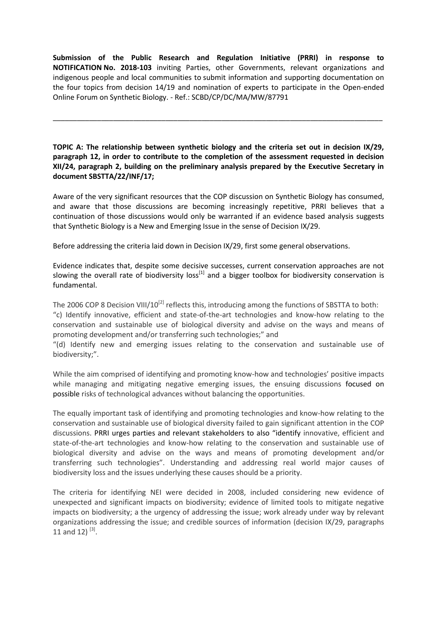**Submission of the Public Research and Regulation Initiative (PRRI) in response to NOTIFICATION No. 2018-103** inviting Parties, other Governments, relevant organizations and indigenous people and local communities to submit information and supporting documentation on the four topics from decision 14/19 and nomination of experts to participate in the Open-ended Online Forum on Synthetic Biology. - Ref.: SCBD/CP/DC/MA/MW/87791

\_\_\_\_\_\_\_\_\_\_\_\_\_\_\_\_\_\_\_\_\_\_\_\_\_\_\_\_\_\_\_\_\_\_\_\_\_\_\_\_\_\_\_\_\_\_\_\_\_\_\_\_\_\_\_\_\_\_\_\_\_\_\_\_\_\_\_\_\_\_\_\_\_\_\_\_\_\_\_\_\_\_

**TOPIC A: The relationship between synthetic biology and the criteria set out in decision IX/29, paragraph 12, in order to contribute to the completion of the assessment requested in decision XII/24, paragraph 2, building on the preliminary analysis prepared by the Executive Secretary in document SBSTTA/22/INF/17;**

Aware of the very significant resources that the COP discussion on Synthetic Biology has consumed, and aware that those discussions are becoming increasingly repetitive, PRRI believes that a continuation of those discussions would only be warranted if an evidence based analysis suggests that Synthetic Biology is a New and Emerging Issue in the sense of Decision IX/29.

Before addressing the criteria laid down in Decision IX/29, first some general observations.

Evidence indicates that, despite some decisive successes, current conservation approaches are not slowing the overall rate of biodiversity loss<sup>[1]</sup> and a bigger toolbox for biodiversity conservation is fundamental.

The 2006 COP 8 Decision VIII/10<sup>[2]</sup> reflects this, introducing among the functions of SBSTTA to both: "c) Identify innovative, efficient and state-of-the-art technologies and know-how relating to the conservation and sustainable use of biological diversity and advise on the ways and means of promoting development and/or transferring such technologies;" and

"(d) Identify new and emerging issues relating to the conservation and sustainable use of biodiversity;".

While the aim comprised of identifying and promoting know-how and technologies' positive impacts while managing and mitigating negative emerging issues, the ensuing discussions focused on possible risks of technological advances without balancing the opportunities.

The equally important task of identifying and promoting technologies and know-how relating to the conservation and sustainable use of biological diversity failed to gain significant attention in the COP discussions. PRRI urges parties and relevant stakeholders to also "identify innovative, efficient and state-of-the-art technologies and know-how relating to the conservation and sustainable use of biological diversity and advise on the ways and means of promoting development and/or transferring such technologies". Understanding and addressing real world major causes of biodiversity loss and the issues underlying these causes should be a priority.

The criteria for identifying NEI were decided in 2008, included considering new evidence of unexpected and significant impacts on biodiversity; evidence of limited tools to mitigate negative impacts on biodiversity; a the urgency of addressing the issue; work already under way by relevant organizations addressing the issue; and credible sources of information (decision IX/29, paragraphs 11 and 12)  $^{[3]}$ .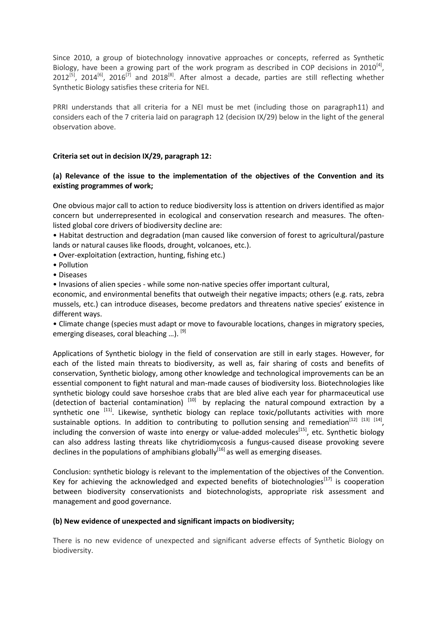Since 2010, a group of biotechnology innovative approaches or concepts, referred as Synthetic Biology, have been a growing part of the work program as described in COP decisions in 2010<sup>[4]</sup>,  $2012^{5}$ ,  $2014^{6}$ ,  $2016^{7}$  and  $2018^{8}$ . After almost a decade, parties are still reflecting whether Synthetic Biology satisfies these criteria for NEI.

PRRI understands that all criteria for a NEI must be met (including those on paragraph11) and considers each of the 7 criteria laid on paragraph 12 (decision IX/29) below in the light of the general observation above.

### **Criteria set out in decision IX/29, paragraph 12:**

# **(a) Relevance of the issue to the implementation of the objectives of the Convention and its existing programmes of work;**

One obvious major call to action to reduce biodiversity loss is attention on drivers identified as major concern but underrepresented in ecological and conservation research and measures. The oftenlisted global core drivers of biodiversity decline are:

• Habitat destruction and degradation (man caused like conversion of forest to agricultural/pasture lands or natural causes like floods, drought, volcanoes, etc.).

- Over-exploitation (extraction, hunting, fishing etc.)
- Pollution
- Diseases

• Invasions of alien species - while some non-native species offer important cultural,

economic, and environmental benefits that outweigh their negative impacts; others (e.g. rats, zebra mussels, etc.) can introduce diseases, become predators and threatens native species' existence in different ways.

• Climate change (species must adapt or move to favourable locations, changes in migratory species, emerging diseases, coral bleaching ...). <sup>[9]</sup>

Applications of Synthetic biology in the field of conservation are still in early stages. However, for each of the listed main threats to biodiversity, as well as, fair sharing of costs and benefits of conservation, Synthetic biology, among other knowledge and technological improvements can be an essential component to fight natural and man-made causes of biodiversity loss. Biotechnologies like synthetic biology could save horseshoe crabs that are bled alive each year for pharmaceutical use (detection of bacterial contamination)  $[10]$  by replacing the natural compound extraction by a synthetic one <sup>[11]</sup>. Likewise, synthetic biology can replace toxic/pollutants activities with more sustainable options. In addition to contributing to pollution sensing and remediation<sup>[12] [13] [14]</sup>, including the conversion of waste into energy or value-added molecules<sup>[15]</sup>, etc. Synthetic biology can also address lasting threats like chytridiomycosis a fungus-caused disease provoking severe declines in the populations of amphibians globally<sup>[16]</sup> as well as emerging diseases.

Conclusion: synthetic biology is relevant to the implementation of the objectives of the Convention. Key for achieving the acknowledged and expected benefits of biotechnologies $^{[17]}$  is cooperation between biodiversity conservationists and biotechnologists, appropriate risk assessment and management and good governance.

#### **(b) New evidence of unexpected and significant impacts on biodiversity;**

There is no new evidence of unexpected and significant adverse effects of Synthetic Biology on biodiversity.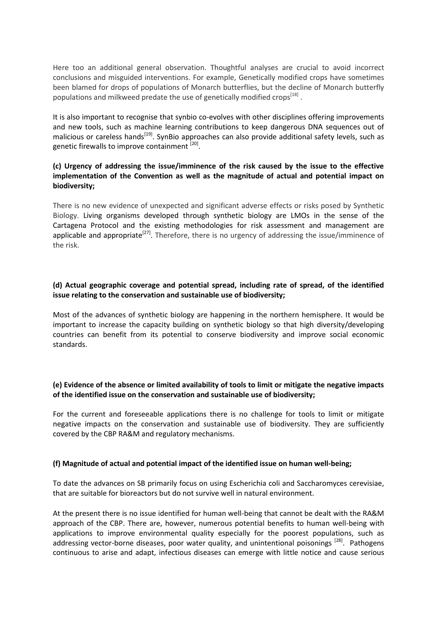Here too an additional general observation. Thoughtful analyses are crucial to avoid incorrect conclusions and misguided interventions. For example, Genetically modified crops have sometimes been blamed for drops of populations of Monarch butterflies, but the decline of Monarch butterfly populations and milkweed predate the use of genetically modified crops<sup>[18]</sup>.

It is also important to recognise that synbio co-evolves with other disciplines offering improvements and new tools, such as machine learning contributions to keep dangerous DNA sequences out of malicious or careless hands<sup>[19]</sup>. SynBio approaches can also provide additional safety levels, such as genetic firewalls to improve containment <sup>[20]</sup>.

# **(c) Urgency of addressing the issue/imminence of the risk caused by the issue to the effective implementation of the Convention as well as the magnitude of actual and potential impact on biodiversity;**

There is no new evidence of unexpected and significant adverse effects or risks posed by Synthetic Biology. Living organisms developed through synthetic biology are LMOs in the sense of the Cartagena Protocol and the existing methodologies for risk assessment and management are applicable and appropriate<sup>[27]</sup>. Therefore, there is no urgency of addressing the issue/imminence of the risk.

# **(d) Actual geographic coverage and potential spread, including rate of spread, of the identified issue relating to the conservation and sustainable use of biodiversity;**

Most of the advances of synthetic biology are happening in the northern hemisphere. It would be important to increase the capacity building on synthetic biology so that high diversity/developing countries can benefit from its potential to conserve biodiversity and improve social economic standards.

### **(e) Evidence of the absence or limited availability of tools to limit or mitigate the negative impacts of the identified issue on the conservation and sustainable use of biodiversity;**

For the current and foreseeable applications there is no challenge for tools to limit or mitigate negative impacts on the conservation and sustainable use of biodiversity. They are sufficiently covered by the CBP RA&M and regulatory mechanisms.

#### **(f) Magnitude of actual and potential impact of the identified issue on human well-being;**

To date the advances on SB primarily focus on using Escherichia coli and Saccharomyces cerevisiae, that are suitable for bioreactors but do not survive well in natural environment.

At the present there is no issue identified for human well-being that cannot be dealt with the RA&M approach of the CBP. There are, however, numerous potential benefits to human well-being with applications to improve environmental quality especially for the poorest populations, such as addressing vector-borne diseases, poor water quality, and unintentional poisonings <sup>[28]</sup>. Pathogens continuous to arise and adapt, infectious diseases can emerge with little notice and cause serious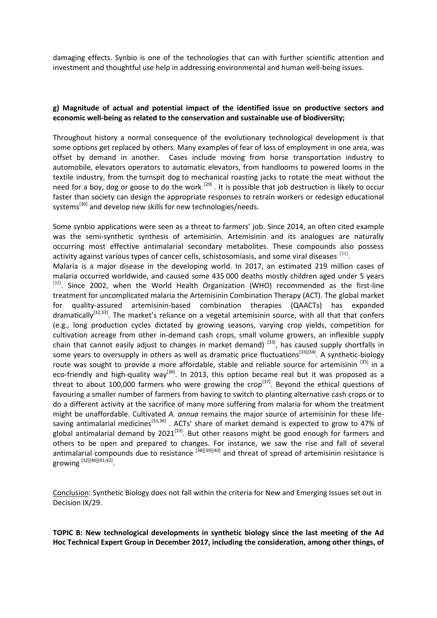damaging effects. Synbio is one of the technologies that can with further scientific attention and investment and thoughtful use help in addressing environmental and human well-being issues.

### **g) Magnitude of actual and potential impact of the identified issue on productive sectors and economic well-being as related to the conservation and sustainable use of biodiversity;**

Throughout history a normal consequence of the evolutionary technological development is that some options get replaced by others. Many examples of fear of loss of employment in one area, was offset by demand in another. Cases include moving from horse transportation industry to automobile, elevators operators to automatic elevators, from handlooms to powered looms in the textile industry, from the turnspit dog to mechanical roasting jacks to rotate the meat without the need for a boy, dog or goose to do the work <sup>[29]</sup> . It is possible that job destruction is likely to occur faster than society can design the appropriate responses to retrain workers or redesign educational systems<sup>[30]</sup> and develop new skills for new technologies/needs.

Some synbio applications were seen as a threat to farmers' job. Since 2014, an often cited example was the semi-synthetic synthesis of artemisinin. Artemisinin and its analogues are naturally occurring most effective antimalarial secondary metabolites. These compounds also possess activity against various types of cancer cells, schistosomiasis, and some viral diseases  $^{[31]}$ . Malaria is a major disease in the developing world. In 2017, an estimated 219 million cases of

malaria occurred worldwide, and caused some 435 000 deaths mostly children aged under 5 years  $[32]$ . Since 2002, when the World Health Organization (WHO) recommended as the first-line treatment for uncomplicated malaria the Artemisinin Combination Therapy (ACT). The global market for quality-assured artemisinin-based combination therapies (QAACTs) has expanded dramatically<sup>[32,33]</sup>. The market's reliance on a vegetal artemisinin source, with all that that confers (e.g., long production cycles dictated by growing seasons, varying crop yields, competition for cultivation acreage from other in-demand cash crops, small volume growers, an inflexible supply chain that cannot easily adjust to changes in market demand)  $^{[33]}$ , has caused supply shortfalls in some years to oversupply in others as well as dramatic price fluctuations<sup>[33][34]</sup>. A synthetic-biology route was sought to provide a more affordable, stable and reliable source for artemisinin [35] in a eco-friendly and high-quality way<sup>[36]</sup>. In 2013, this option became real but it was proposed as a threat to about 100,000 farmers who were growing the crop<sup>[37]</sup>. Beyond the ethical questions of favouring a smaller number of farmers from having to switch to planting alternative cash crops or to do a different activity at the sacrifice of many more suffering from malaria for whom the treatment might be unaffordable. Cultivated *A. annua* remains the major source of artemisinin for these lifesaving antimalarial medicines<sup>[33,36]</sup>. ACTs' share of market demand is expected to grow to 47% of global antimalarial demand by 2021<sup>[33]</sup>. But other reasons might be good enough for farmers and others to be open and prepared to changes. For instance, we saw the rise and fall of several antimalarial compounds due to resistance <sup>[38][39][40]</sup> and threat of spread of artemisinin resistance is growing  $^{[32][40][41,42]}.$ 

Conclusion: Synthetic Biology does not fall within the criteria for New and Emerging Issues set out in Decision IX/29.

**TOPIC B: New technological developments in synthetic biology since the last meeting of the Ad Hoc Technical Expert Group in December 2017, including the consideration, among other things, of**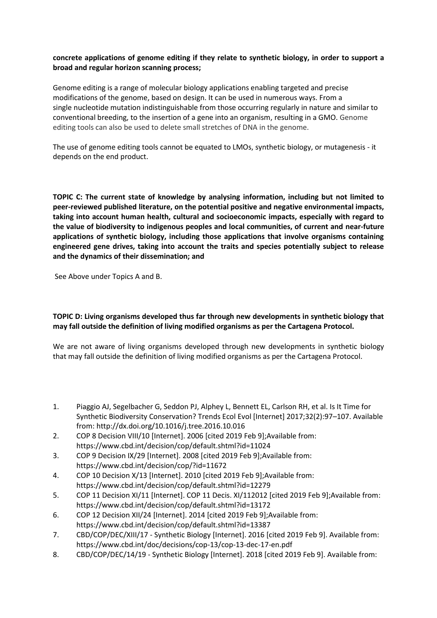# **concrete applications of genome editing if they relate to synthetic biology, in order to support a broad and regular horizon scanning process;**

Genome editing is a range of molecular biology applications enabling targeted and precise modifications of the genome, based on design. It can be used in numerous ways. From a single nucleotide mutation indistinguishable from those occurring regularly in nature and similar to conventional breeding, to the insertion of a gene into an organism, resulting in a GMO. Genome editing tools can also be used to delete small stretches of DNA in the genome.

The use of genome editing tools cannot be equated to LMOs, synthetic biology, or mutagenesis - it depends on the end product.

**TOPIC C: The current state of knowledge by analysing information, including but not limited to peer-reviewed published literature, on the potential positive and negative environmental impacts, taking into account human health, cultural and socioeconomic impacts, especially with regard to the value of biodiversity to indigenous peoples and local communities, of current and near-future applications of synthetic biology, including those applications that involve organisms containing engineered gene drives, taking into account the traits and species potentially subject to release and the dynamics of their dissemination; and**

See Above under Topics A and B.

# **TOPIC D: Living organisms developed thus far through new developments in synthetic biology that may fall outside the definition of living modified organisms as per the Cartagena Protocol.**

We are not aware of living organisms developed through new developments in synthetic biology that may fall outside the definition of living modified organisms as per the Cartagena Protocol.

- 1. Piaggio AJ, Segelbacher G, Seddon PJ, Alphey L, Bennett EL, Carlson RH, et al. Is It Time for Synthetic Biodiversity Conservation? Trends Ecol Evol [Internet] 2017;32(2):97–107. Available from: http://dx.doi.org/10.1016/j.tree.2016.10.016
- 2. COP 8 Decision VIII/10 [Internet]. 2006 [cited 2019 Feb 9];Available from: https://www.cbd.int/decision/cop/default.shtml?id=11024
- 3. COP 9 Decision IX/29 [Internet]. 2008 [cited 2019 Feb 9];Available from: https://www.cbd.int/decision/cop/?id=11672
- 4. COP 10 Decision X/13 [Internet]. 2010 [cited 2019 Feb 9];Available from: https://www.cbd.int/decision/cop/default.shtml?id=12279
- 5. COP 11 Decision XI/11 [Internet]. COP 11 Decis. XI/112012 [cited 2019 Feb 9];Available from: https://www.cbd.int/decision/cop/default.shtml?id=13172
- 6. COP 12 Decision XII/24 [Internet]. 2014 [cited 2019 Feb 9];Available from: https://www.cbd.int/decision/cop/default.shtml?id=13387
- 7. CBD/COP/DEC/XIII/17 Synthetic Biology [Internet]. 2016 [cited 2019 Feb 9]. Available from: https://www.cbd.int/doc/decisions/cop-13/cop-13-dec-17-en.pdf
- 8. CBD/COP/DEC/14/19 Synthetic Biology [Internet]. 2018 [cited 2019 Feb 9]. Available from: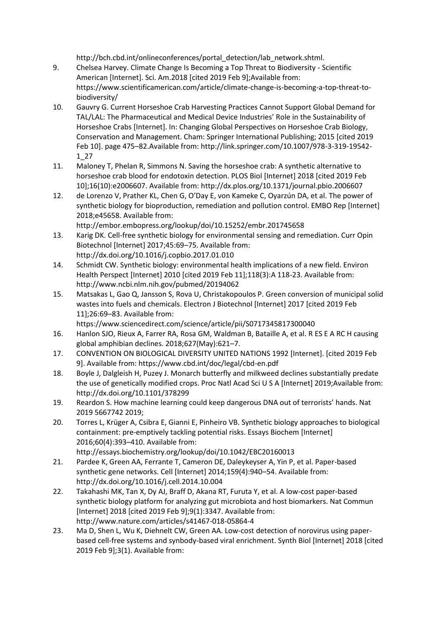http://bch.cbd.int/onlineconferences/portal\_detection/lab\_network.shtml.

- 9. Chelsea Harvey. Climate Change Is Becoming a Top Threat to Biodiversity Scientific American [Internet]. Sci. Am.2018 [cited 2019 Feb 9];Available from: https://www.scientificamerican.com/article/climate-change-is-becoming-a-top-threat-tobiodiversity/
- 10. Gauvry G. Current Horseshoe Crab Harvesting Practices Cannot Support Global Demand for TAL/LAL: The Pharmaceutical and Medical Device Industries' Role in the Sustainability of Horseshoe Crabs [Internet]. In: Changing Global Perspectives on Horseshoe Crab Biology, Conservation and Management. Cham: Springer International Publishing; 2015 [cited 2019 Feb 10]. page 475–82.Available from: http://link.springer.com/10.1007/978-3-319-19542- 1\_27
- 11. Maloney T, Phelan R, Simmons N. Saving the horseshoe crab: A synthetic alternative to horseshoe crab blood for endotoxin detection. PLOS Biol [Internet] 2018 [cited 2019 Feb 10];16(10):e2006607. Available from: http://dx.plos.org/10.1371/journal.pbio.2006607
- 12. de Lorenzo V, Prather KL, Chen G, O'Day E, von Kameke C, Oyarzún DA, et al. The power of synthetic biology for bioproduction, remediation and pollution control. EMBO Rep [Internet] 2018;e45658. Available from: http://embor.embopress.org/lookup/doi/10.15252/embr.201745658
- 13. Karig DK. Cell-free synthetic biology for environmental sensing and remediation. Curr Opin Biotechnol [Internet] 2017;45:69–75. Available from: http://dx.doi.org/10.1016/j.copbio.2017.01.010
- 14. Schmidt CW. Synthetic biology: environmental health implications of a new field. Environ Health Perspect [Internet] 2010 [cited 2019 Feb 11];118(3):A 118-23. Available from: http://www.ncbi.nlm.nih.gov/pubmed/20194062
- 15. Matsakas L, Gao Q, Jansson S, Rova U, Christakopoulos P. Green conversion of municipal solid wastes into fuels and chemicals. Electron J Biotechnol [Internet] 2017 [cited 2019 Feb 11];26:69–83. Available from:
	- https://www.sciencedirect.com/science/article/pii/S0717345817300040
- 16. Hanlon SJO, Rieux A, Farrer RA, Rosa GM, Waldman B, Bataille A, et al. R ES E A RC H causing global amphibian declines. 2018;627(May):621–7.
- 17. CONVENTION ON BIOLOGICAL DIVERSITY UNITED NATIONS 1992 [Internet]. [cited 2019 Feb 9]. Available from: https://www.cbd.int/doc/legal/cbd-en.pdf
- 18. Boyle J, Dalgleish H, Puzey J. Monarch butterfly and milkweed declines substantially predate the use of genetically modified crops. Proc Natl Acad Sci U S A [Internet] 2019;Available from: http://dx.doi.org/10.1101/378299
- 19. Reardon S. How machine learning could keep dangerous DNA out of terrorists' hands. Nat 2019 5667742 2019;
- 20. Torres L, Krüger A, Csibra E, Gianni E, Pinheiro VB. Synthetic biology approaches to biological containment: pre-emptively tackling potential risks. Essays Biochem [Internet] 2016;60(4):393–410. Available from: http://essays.biochemistry.org/lookup/doi/10.1042/EBC20160013
- 21. Pardee K, Green AA, Ferrante T, Cameron DE, Daleykeyser A, Yin P, et al. Paper-based synthetic gene networks. Cell [Internet] 2014;159(4):940–54. Available from: http://dx.doi.org/10.1016/j.cell.2014.10.004
- 22. Takahashi MK, Tan X, Dy AJ, Braff D, Akana RT, Furuta Y, et al. A low-cost paper-based synthetic biology platform for analyzing gut microbiota and host biomarkers. Nat Commun [Internet] 2018 [cited 2019 Feb 9];9(1):3347. Available from: http://www.nature.com/articles/s41467-018-05864-4
- 23. Ma D, Shen L, Wu K, Diehnelt CW, Green AA. Low-cost detection of norovirus using paperbased cell-free systems and synbody-based viral enrichment. Synth Biol [Internet] 2018 [cited 2019 Feb 9];3(1). Available from: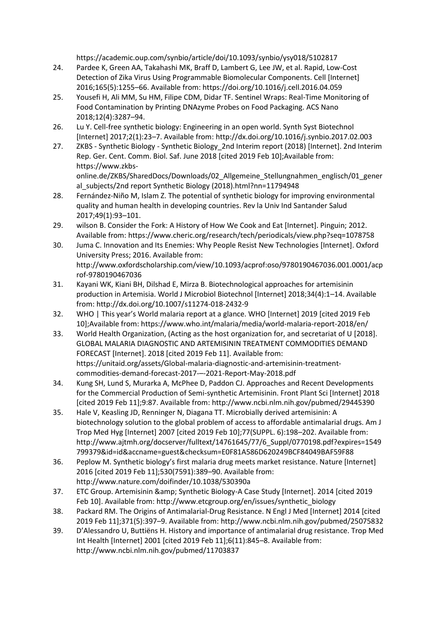https://academic.oup.com/synbio/article/doi/10.1093/synbio/ysy018/5102817

- 24. Pardee K, Green AA, Takahashi MK, Braff D, Lambert G, Lee JW, et al. Rapid, Low-Cost Detection of Zika Virus Using Programmable Biomolecular Components. Cell [Internet] 2016;165(5):1255–66. Available from: https://doi.org/10.1016/j.cell.2016.04.059
- 25. Yousefi H, Ali MM, Su HM, Filipe CDM, Didar TF. Sentinel Wraps: Real-Time Monitoring of Food Contamination by Printing DNAzyme Probes on Food Packaging. ACS Nano 2018;12(4):3287–94.
- 26. Lu Y. Cell-free synthetic biology: Engineering in an open world. Synth Syst Biotechnol [Internet] 2017;2(1):23–7. Available from: http://dx.doi.org/10.1016/j.synbio.2017.02.003
- 27. ZKBS Synthetic Biology Synthetic Biology\_2nd Interim report (2018) [Internet]. 2nd Interim Rep. Ger. Cent. Comm. Biol. Saf. June 2018 [cited 2019 Feb 10];Available from: https://www.zkbsonline.de/ZKBS/SharedDocs/Downloads/02\_Allgemeine\_Stellungnahmen\_englisch/01\_gener al\_subjects/2nd report Synthetic Biology (2018).html?nn=11794948
- 28. Fernández-Niño M, Islam Z. The potential of synthetic biology for improving environmental quality and human health in developing countries. Rev la Univ Ind Santander Salud 2017;49(1):93–101.
- 29. wilson B. Consider the Fork: A History of How We Cook and Eat [Internet]. Pinguin; 2012. Available from: https://www.cheric.org/research/tech/periodicals/view.php?seq=1078758
- 30. Juma C. Innovation and Its Enemies: Why People Resist New Technologies [Internet]. Oxford University Press; 2016. Available from: http://www.oxfordscholarship.com/view/10.1093/acprof:oso/9780190467036.001.0001/acp rof-9780190467036
- 31. Kayani WK, Kiani BH, Dilshad E, Mirza B. Biotechnological approaches for artemisinin production in Artemisia. World J Microbiol Biotechnol [Internet] 2018;34(4):1–14. Available from: http://dx.doi.org/10.1007/s11274-018-2432-9
- 32. WHO | This year's World malaria report at a glance. WHO [Internet] 2019 [cited 2019 Feb 10];Available from: https://www.who.int/malaria/media/world-malaria-report-2018/en/
- 33. World Health Organization, (Acting as the host organization for, and secretariat of U [2018]. GLOBAL MALARIA DIAGNOSTIC AND ARTEMISININ TREATMENT COMMODITIES DEMAND FORECAST [Internet]. 2018 [cited 2019 Feb 11]. Available from: https://unitaid.org/assets/Global-malaria-diagnostic-and-artemisinin-treatmentcommodities-demand-forecast-2017-–-2021-Report-May-2018.pdf
- 34. Kung SH, Lund S, Murarka A, McPhee D, Paddon CJ. Approaches and Recent Developments for the Commercial Production of Semi-synthetic Artemisinin. Front Plant Sci [Internet] 2018 [cited 2019 Feb 11];9:87. Available from: http://www.ncbi.nlm.nih.gov/pubmed/29445390
- 35. Hale V, Keasling JD, Renninger N, Diagana TT. Microbially derived artemisinin: A biotechnology solution to the global problem of access to affordable antimalarial drugs. Am J Trop Med Hyg [Internet] 2007 [cited 2019 Feb 10];77(SUPPL. 6):198–202. Available from: http://www.ajtmh.org/docserver/fulltext/14761645/77/6\_Suppl/0770198.pdf?expires=1549 799379&id=id&accname=guest&checksum=E0F81A586D620249BCF84049BAF59F88
- 36. Peplow M. Synthetic biology's first malaria drug meets market resistance. Nature [Internet] 2016 [cited 2019 Feb 11];530(7591):389–90. Available from: http://www.nature.com/doifinder/10.1038/530390a
- 37. ETC Group. Artemisinin & amp; Synthetic Biology-A Case Study [Internet]. 2014 [cited 2019 Feb 10]. Available from: http://www.etcgroup.org/en/issues/synthetic\_biology
- 38. Packard RM. The Origins of Antimalarial-Drug Resistance. N Engl J Med [Internet] 2014 [cited 2019 Feb 11];371(5):397–9. Available from: http://www.ncbi.nlm.nih.gov/pubmed/25075832
- 39. D'Alessandro U, Buttiëns H. History and importance of antimalarial drug resistance. Trop Med Int Health [Internet] 2001 [cited 2019 Feb 11];6(11):845–8. Available from: http://www.ncbi.nlm.nih.gov/pubmed/11703837